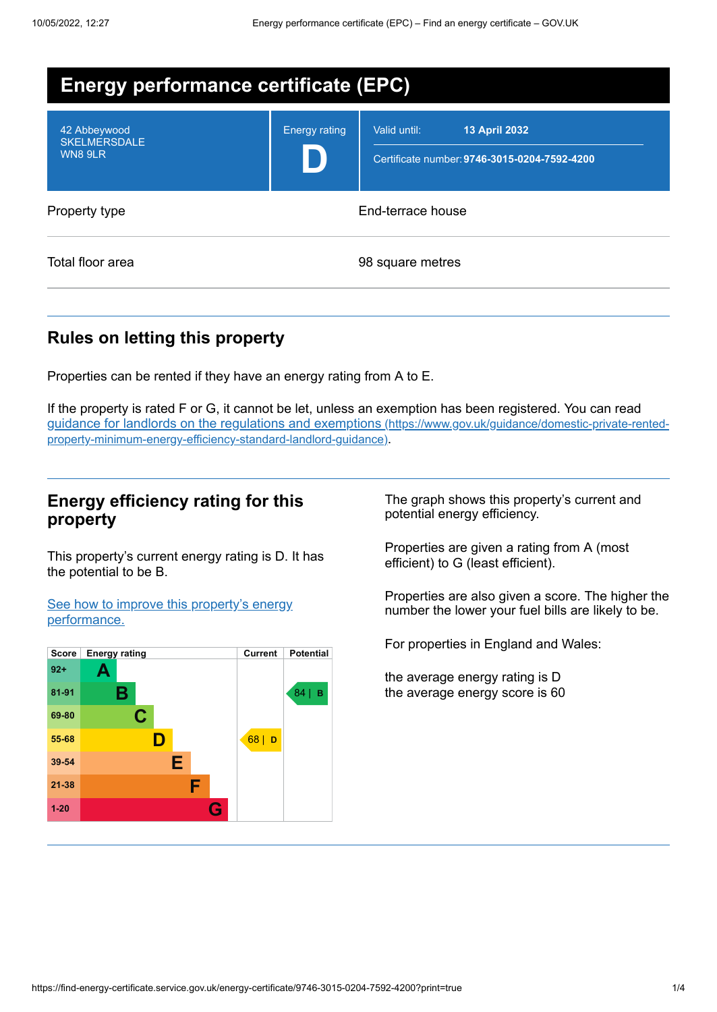| <b>Energy performance certificate (EPC)</b>    |                      |                                                                               |
|------------------------------------------------|----------------------|-------------------------------------------------------------------------------|
| 42 Abbeywood<br><b>SKELMERSDALE</b><br>WN8 9LR | <b>Energy rating</b> | Valid until:<br>13 April 2032<br>Certificate number: 9746-3015-0204-7592-4200 |
| Property type                                  |                      | End-terrace house                                                             |
| Total floor area                               |                      | 98 square metres                                                              |

# **Rules on letting this property**

Properties can be rented if they have an energy rating from A to E.

If the property is rated F or G, it cannot be let, unless an exemption has been registered. You can read guidance for landlords on the regulations and exemptions (https://www.gov.uk/guidance/domestic-private-rented[property-minimum-energy-efficiency-standard-landlord-guidance\)](https://www.gov.uk/guidance/domestic-private-rented-property-minimum-energy-efficiency-standard-landlord-guidance).

## **Energy efficiency rating for this property**

This property's current energy rating is D. It has the potential to be B.

See how to improve this property's energy [performance.](#page-2-0)



The graph shows this property's current and potential energy efficiency.

Properties are given a rating from A (most efficient) to G (least efficient).

Properties are also given a score. The higher the number the lower your fuel bills are likely to be.

For properties in England and Wales:

the average energy rating is D the average energy score is 60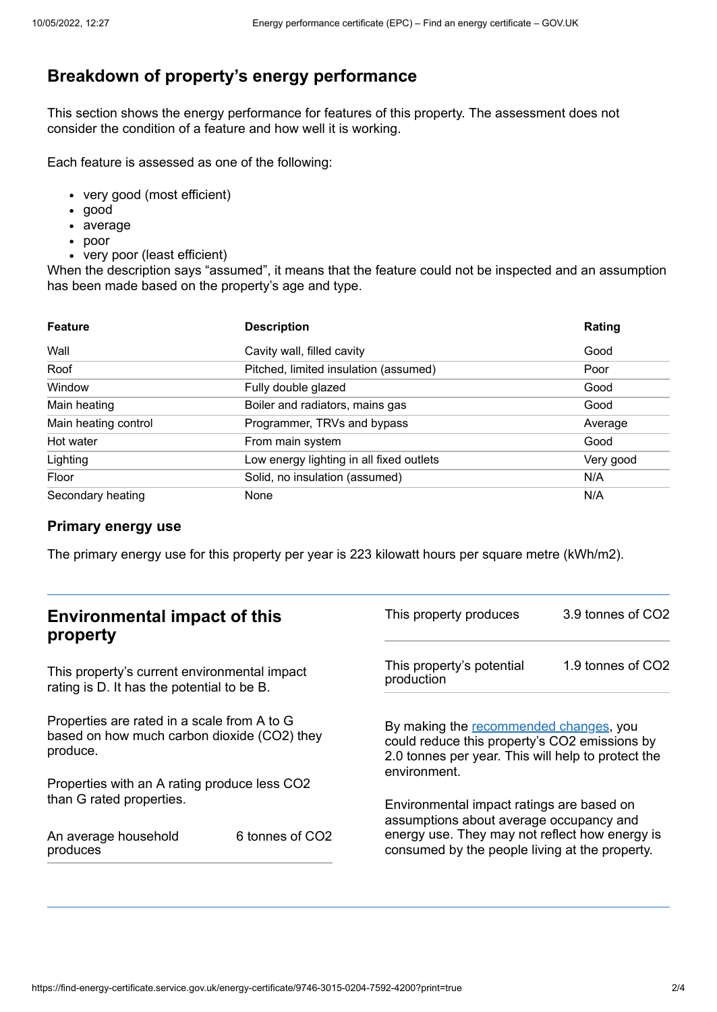# **Breakdown of property's energy performance**

This section shows the energy performance for features of this property. The assessment does not consider the condition of a feature and how well it is working.

Each feature is assessed as one of the following:

- very good (most efficient)
- good
- average
- poor
- very poor (least efficient)

When the description says "assumed", it means that the feature could not be inspected and an assumption has been made based on the property's age and type.

| <b>Feature</b>       | <b>Description</b>                       | Rating    |
|----------------------|------------------------------------------|-----------|
| Wall                 | Cavity wall, filled cavity               | Good      |
| Roof                 | Pitched, limited insulation (assumed)    | Poor      |
| Window               | Fully double glazed                      | Good      |
| Main heating         | Boiler and radiators, mains gas          | Good      |
| Main heating control | Programmer, TRVs and bypass              | Average   |
| Hot water            | From main system                         | Good      |
| Lighting             | Low energy lighting in all fixed outlets | Very good |
| Floor                | Solid, no insulation (assumed)           | N/A       |
| Secondary heating    | None                                     | N/A       |

#### **Primary energy use**

The primary energy use for this property per year is 223 kilowatt hours per square metre (kWh/m2).

| <b>Environmental impact of this</b><br>property                                                        |                 | This property produces                                                                                                                                        | 3.9 tonnes of CO2 |
|--------------------------------------------------------------------------------------------------------|-----------------|---------------------------------------------------------------------------------------------------------------------------------------------------------------|-------------------|
| This property's current environmental impact<br>rating is D. It has the potential to be B.             |                 | This property's potential<br>production                                                                                                                       | 1.9 tonnes of CO2 |
| Properties are rated in a scale from A to G<br>based on how much carbon dioxide (CO2) they<br>produce. |                 | By making the recommended changes, you<br>could reduce this property's CO2 emissions by<br>2.0 tonnes per year. This will help to protect the<br>environment. |                   |
| Properties with an A rating produce less CO2                                                           |                 |                                                                                                                                                               |                   |
| than G rated properties.                                                                               |                 | Environmental impact ratings are based on<br>assumptions about average occupancy and                                                                          |                   |
| An average household<br>produces                                                                       | 6 tonnes of CO2 | energy use. They may not reflect how energy is<br>consumed by the people living at the property.                                                              |                   |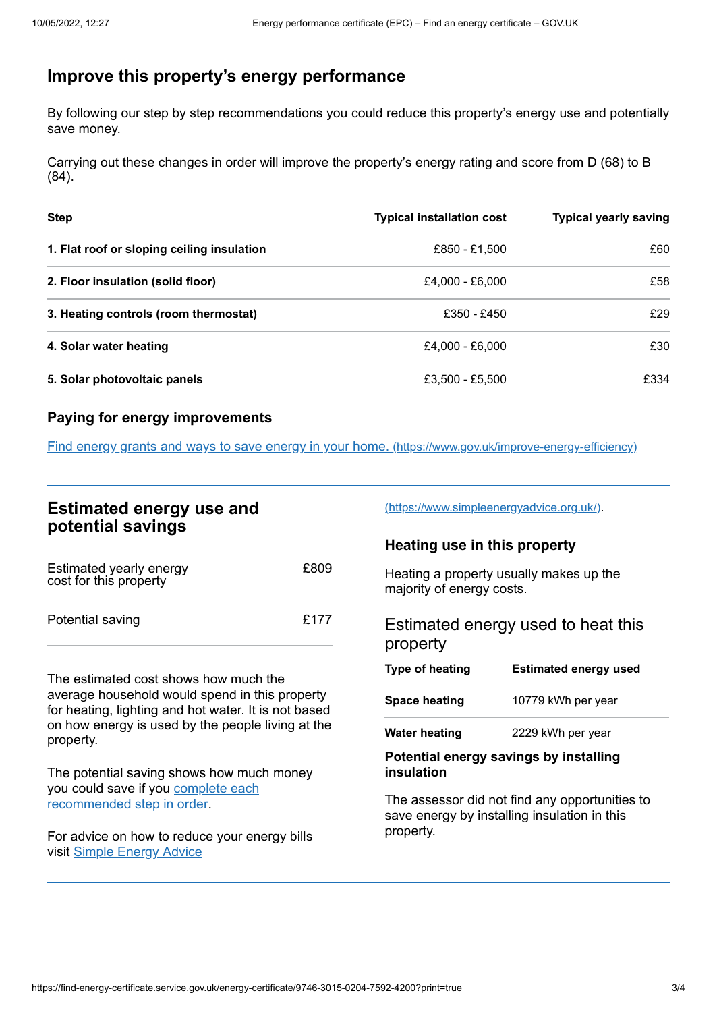# <span id="page-2-0"></span>**Improve this property's energy performance**

By following our step by step recommendations you could reduce this property's energy use and potentially save money.

Carrying out these changes in order will improve the property's energy rating and score from D (68) to B (84).

| <b>Step</b>                                | <b>Typical installation cost</b> | <b>Typical yearly saving</b> |
|--------------------------------------------|----------------------------------|------------------------------|
| 1. Flat roof or sloping ceiling insulation | £850 - £1,500                    | £60                          |
| 2. Floor insulation (solid floor)          | £4,000 - £6,000                  | £58                          |
| 3. Heating controls (room thermostat)      | £350 - £450                      | £29                          |
| 4. Solar water heating                     | £4,000 - £6,000                  | £30                          |
| 5. Solar photovoltaic panels               | £3,500 - £5,500                  | £334                         |

#### **Paying for energy improvements**

Find energy grants and ways to save energy in your home. [\(https://www.gov.uk/improve-energy-efficiency\)](https://www.gov.uk/improve-energy-efficiency)

## **Estimated energy use and potential savings**

| Estimated yearly energy<br>cost for this property | £809 |
|---------------------------------------------------|------|
| Potential saving                                  | £177 |

The estimated cost shows how much the average household would spend in this property for heating, lighting and hot water. It is not based on how energy is used by the people living at the property.

The potential saving shows how much money you could save if you complete each [recommended](#page-2-0) step in order.

For advice on how to reduce your energy bills visit Simple [Energy](https://www.simpleenergyadvice.org.uk/) Advice

[\(https://www.simpleenergyadvice.org.uk/\)](https://www.simpleenergyadvice.org.uk/).

### **Heating use in this property**

Heating a property usually makes up the majority of energy costs.

Estimated energy used to heat this property

| Type of heating      | <b>Estimated energy used</b> |
|----------------------|------------------------------|
| <b>Space heating</b> | 10779 kWh per year           |
| <b>Water heating</b> | 2229 kWh per year            |

#### **Potential energy savings by installing insulation**

The assessor did not find any opportunities to save energy by installing insulation in this property.